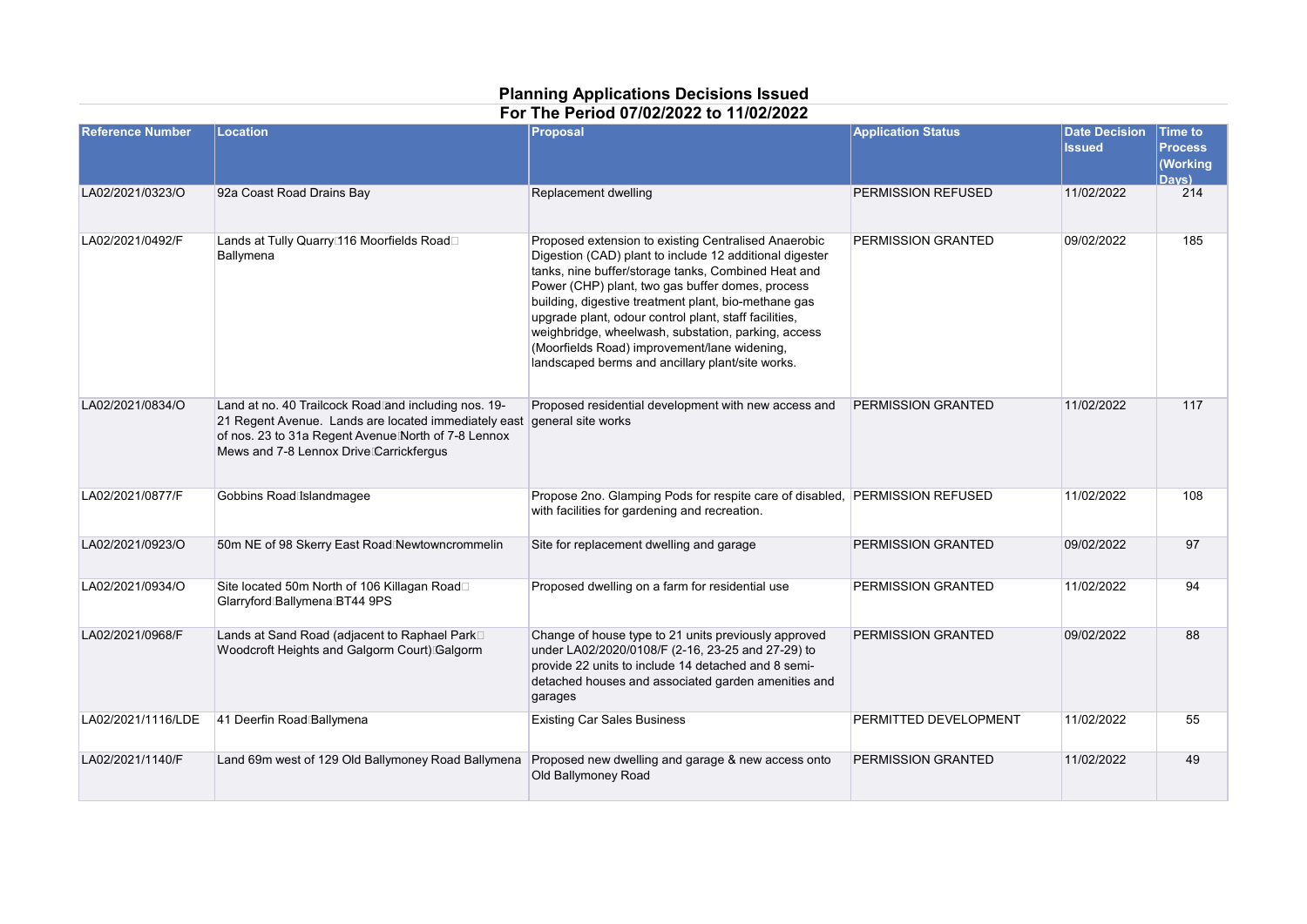## **Planning Applications Decisions Issued For The Period 07/02/2022 to 11/02/2022**

| <b>Reference Number</b> | Location                                                                                                                                                                                                       | <b>Proposal</b>                                                                                                                                                                                                                                                                                                                                                                                                                                                                                        | <b>Application Status</b> | <b>Date Decision</b><br><b>Issued</b> | <b>Time to</b><br><b>Process</b><br>(Working<br>Davs) |
|-------------------------|----------------------------------------------------------------------------------------------------------------------------------------------------------------------------------------------------------------|--------------------------------------------------------------------------------------------------------------------------------------------------------------------------------------------------------------------------------------------------------------------------------------------------------------------------------------------------------------------------------------------------------------------------------------------------------------------------------------------------------|---------------------------|---------------------------------------|-------------------------------------------------------|
| LA02/2021/0323/O        | 92a Coast Road Drains Bay                                                                                                                                                                                      | Replacement dwelling                                                                                                                                                                                                                                                                                                                                                                                                                                                                                   | PERMISSION REFUSED        | 11/02/2022                            | 214                                                   |
| LA02/2021/0492/F        | Lands at Tully Quarry <sup>[116</sup> Moorfields Road <sup>[11]</sup><br>Ballymena                                                                                                                             | Proposed extension to existing Centralised Anaerobic<br>Digestion (CAD) plant to include 12 additional digester<br>tanks, nine buffer/storage tanks, Combined Heat and<br>Power (CHP) plant, two gas buffer domes, process<br>building, digestive treatment plant, bio-methane gas<br>upgrade plant, odour control plant, staff facilities,<br>weighbridge, wheelwash, substation, parking, access<br>(Moorfields Road) improvement/lane widening,<br>landscaped berms and ancillary plant/site works. | PERMISSION GRANTED        | 09/02/2022                            | 185                                                   |
| LA02/2021/0834/O        | Land at no. 40 Trailcock Road and including nos. 19-<br>21 Regent Avenue. Lands are located immediately east<br>of nos. 23 to 31a Regent Avenue North of 7-8 Lennox<br>Mews and 7-8 Lennox Drive Carrickfergus | Proposed residential development with new access and<br>general site works                                                                                                                                                                                                                                                                                                                                                                                                                             | PERMISSION GRANTED        | 11/02/2022                            | 117                                                   |
| LA02/2021/0877/F        | Gobbins Road Islandmagee                                                                                                                                                                                       | Propose 2no. Glamping Pods for respite care of disabled, PERMISSION REFUSED<br>with facilities for gardening and recreation.                                                                                                                                                                                                                                                                                                                                                                           |                           | 11/02/2022                            | 108                                                   |
| LA02/2021/0923/O        | 50m NE of 98 Skerry East Road Newtowncrommelin                                                                                                                                                                 | Site for replacement dwelling and garage                                                                                                                                                                                                                                                                                                                                                                                                                                                               | PERMISSION GRANTED        | 09/02/2022                            | 97                                                    |
| LA02/2021/0934/O        | Site located 50m North of 106 Killagan Road□<br>Glarryford Ballymena BT44 9PS                                                                                                                                  | Proposed dwelling on a farm for residential use                                                                                                                                                                                                                                                                                                                                                                                                                                                        | PERMISSION GRANTED        | 11/02/2022                            | 94                                                    |
| LA02/2021/0968/F        | Lands at Sand Road (adjacent to Raphael Park <sup>[1]</sup><br>Woodcroft Heights and Galgorm Court) Galgorm                                                                                                    | Change of house type to 21 units previously approved<br>under LA02/2020/0108/F (2-16, 23-25 and 27-29) to<br>provide 22 units to include 14 detached and 8 semi-<br>detached houses and associated garden amenities and<br>garages                                                                                                                                                                                                                                                                     | PERMISSION GRANTED        | 09/02/2022                            | 88                                                    |
| LA02/2021/1116/LDE      | 41 Deerfin Road Ballymena                                                                                                                                                                                      | <b>Existing Car Sales Business</b>                                                                                                                                                                                                                                                                                                                                                                                                                                                                     | PERMITTED DEVELOPMENT     | 11/02/2022                            | 55                                                    |
| LA02/2021/1140/F        | Land 69m west of 129 Old Ballymoney Road Ballymena                                                                                                                                                             | Proposed new dwelling and garage & new access onto<br>Old Ballymoney Road                                                                                                                                                                                                                                                                                                                                                                                                                              | PERMISSION GRANTED        | 11/02/2022                            | 49                                                    |